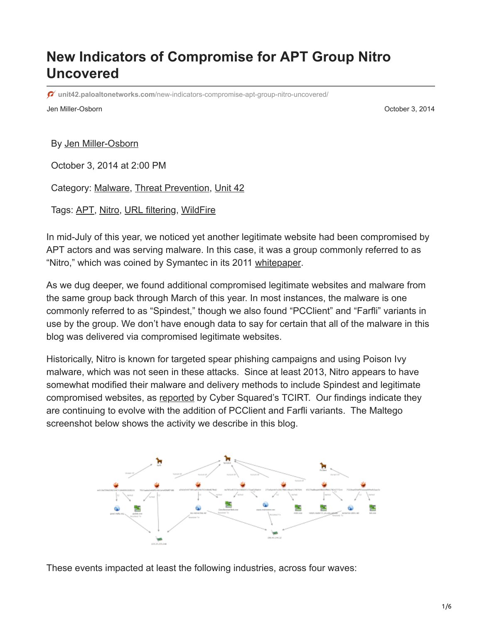# **New Indicators of Compromise for APT Group Nitro Uncovered**

**unit42.paloaltonetworks.com**[/new-indicators-compromise-apt-group-nitro-uncovered/](https://unit42.paloaltonetworks.com/new-indicators-compromise-apt-group-nitro-uncovered/)

Jen Miller-Osborn October 3, 2014

By [Jen Miller-Osborn](https://unit42.paloaltonetworks.com/author/jen-miller-osborn/)

October 3, 2014 at 2:00 PM

Category: [Malware,](https://unit42.paloaltonetworks.com/category/malware-2/) [Threat Prevention](https://unit42.paloaltonetworks.com/category/threat-prevention-2/), [Unit 42](https://unit42.paloaltonetworks.com/category/unit42/)

Tags: [APT](https://unit42.paloaltonetworks.com/tag/apt/), [Nitro](https://unit42.paloaltonetworks.com/tag/nitro/), [URL filtering,](https://unit42.paloaltonetworks.com/tag/url-filtering/) [WildFire](https://unit42.paloaltonetworks.com/tag/wildfire/)

In mid-July of this year, we noticed yet another legitimate website had been compromised by APT actors and was serving malware. In this case, it was a group commonly referred to as "Nitro," which was coined by Symantec in its 2011 [whitepaper](http://www.symantec.com/content/en/us/enterprise/media/security_response/whitepapers/the_nitro_attacks.pdf).

As we dug deeper, we found additional compromised legitimate websites and malware from the same group back through March of this year. In most instances, the malware is one commonly referred to as "Spindest," though we also found "PCClient" and "Farfli" variants in use by the group. We don't have enough data to say for certain that all of the malware in this blog was delivered via compromised legitimate websites.

Historically, Nitro is known for targeted spear phishing campaigns and using Poison Ivy malware, which was not seen in these attacks. Since at least 2013, Nitro appears to have somewhat modified their malware and delivery methods to include Spindest and legitimate compromised websites, as [reported](http://www.threatconnect.com/news/threatconnect-enables-healthy-networking-biomed-life-sciences-industry/) by Cyber Squared's TCIRT. Our findings indicate they are continuing to evolve with the addition of PCClient and Farfli variants. The Maltego screenshot below shows the activity we describe in this blog.



These events impacted at least the following industries, across four waves: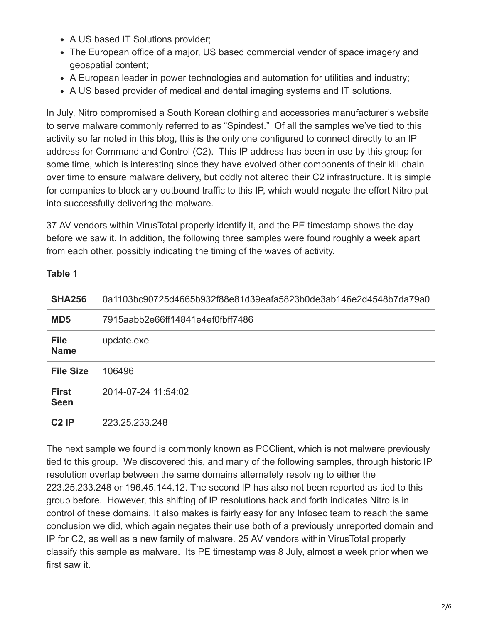- A US based IT Solutions provider;
- The European office of a major, US based commercial vendor of space imagery and geospatial content;
- A European leader in power technologies and automation for utilities and industry;
- A US based provider of medical and dental imaging systems and IT solutions.

In July, Nitro compromised a South Korean clothing and accessories manufacturer's website to serve malware commonly referred to as "Spindest." Of all the samples we've tied to this activity so far noted in this blog, this is the only one configured to connect directly to an IP address for Command and Control (C2). This IP address has been in use by this group for some time, which is interesting since they have evolved other components of their kill chain over time to ensure malware delivery, but oddly not altered their C2 infrastructure. It is simple for companies to block any outbound traffic to this IP, which would negate the effort Nitro put into successfully delivering the malware.

37 AV vendors within VirusTotal properly identify it, and the PE timestamp shows the day before we saw it. In addition, the following three samples were found roughly a week apart from each other, possibly indicating the timing of the waves of activity.

### **Table 1**

| <b>SHA256</b>               | 0a1103bc90725d4665b932f88e81d39eafa5823b0de3ab146e2d4548b7da79a0 |
|-----------------------------|------------------------------------------------------------------|
| MD <sub>5</sub>             | 7915aabb2e66ff14841e4ef0fbff7486                                 |
| <b>File</b><br><b>Name</b>  | update.exe                                                       |
| <b>File Size</b>            | 106496                                                           |
| <b>First</b><br><b>Seen</b> | 2014-07-24 11:54:02                                              |
| $C2$ IP                     | 223.25.233.248                                                   |

The next sample we found is commonly known as PCClient, which is not malware previously tied to this group. We discovered this, and many of the following samples, through historic IP resolution overlap between the same domains alternately resolving to either the 223.25.233.248 or 196.45.144.12. The second IP has also not been reported as tied to this group before. However, this shifting of IP resolutions back and forth indicates Nitro is in control of these domains. It also makes is fairly easy for any Infosec team to reach the same conclusion we did, which again negates their use both of a previously unreported domain and IP for C2, as well as a new family of malware. 25 AV vendors within VirusTotal properly classify this sample as malware. Its PE timestamp was 8 July, almost a week prior when we first saw it.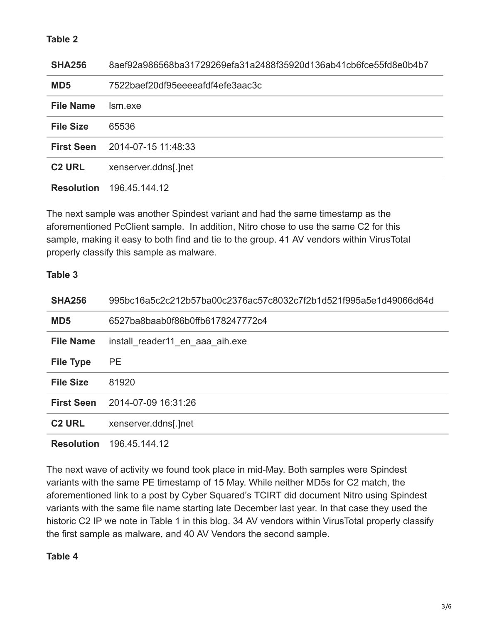## **Table 2**

| <b>SHA256</b>     | 8aef92a986568ba31729269efa31a2488f35920d136ab41cb6fce55fd8e0b4b7 |
|-------------------|------------------------------------------------------------------|
| MD <sub>5</sub>   | 7522baef20df95eeeeafdf4efe3aac3c                                 |
| <b>File Name</b>  | Ism exe                                                          |
| <b>File Size</b>  | 65536                                                            |
| <b>First Seen</b> | 2014-07-15 11:48:33                                              |
| <b>C2 URL</b>     | xenserver.ddns[.]net                                             |
| <b>Resolution</b> | 196.45.144.12                                                    |

The next sample was another Spindest variant and had the same timestamp as the aforementioned PcClient sample. In addition, Nitro chose to use the same C2 for this sample, making it easy to both find and tie to the group. 41 AV vendors within VirusTotal properly classify this sample as malware.

#### **Table 3**

| <b>SHA256</b>     | 995bc16a5c2c212b57ba00c2376ac57c8032c7f2b1d521f995a5e1d49066d64d |
|-------------------|------------------------------------------------------------------|
| MD <sub>5</sub>   | 6527ba8baab0f86b0ffb6178247772c4                                 |
| <b>File Name</b>  | install reader11 en aaa aih.exe                                  |
| <b>File Type</b>  | <b>PE</b>                                                        |
| <b>File Size</b>  | 81920                                                            |
| <b>First Seen</b> | 2014-07-09 16:31:26                                              |
| <b>C2 URL</b>     | xenserver.ddns[.]net                                             |
| <b>Resolution</b> | 196.45.144.12                                                    |

The next wave of activity we found took place in mid-May. Both samples were Spindest variants with the same PE timestamp of 15 May. While neither MD5s for C2 match, the aforementioned link to a post by Cyber Squared's TCIRT did document Nitro using Spindest variants with the same file name starting late December last year. In that case they used the historic C2 IP we note in Table 1 in this blog. 34 AV vendors within VirusTotal properly classify the first sample as malware, and 40 AV Vendors the second sample.

#### **Table 4**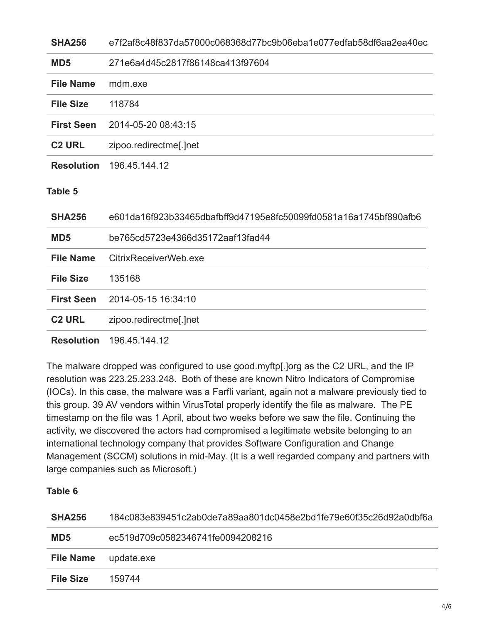| <b>SHA256</b>     | e7f2af8c48f837da57000c068368d77bc9b06eba1e077edfab58df6aa2ea40ec |
|-------------------|------------------------------------------------------------------|
| MD <sub>5</sub>   | 271e6a4d45c2817f86148ca413f97604                                 |
| <b>File Name</b>  | mdm.exe                                                          |
| <b>File Size</b>  | 118784                                                           |
| <b>First Seen</b> | 2014-05-20 08:43:15                                              |
| <b>C2 URL</b>     | zipoo.redirectme[.]net                                           |
| <b>Resolution</b> | 196.45.144.12                                                    |
| <b>Table 5</b>    |                                                                  |
|                   |                                                                  |
| <b>SHA256</b>     | e601da16f923b33465dbafbff9d47195e8fc50099fd0581a16a1745bf890afb6 |
| MD <sub>5</sub>   | be765cd5723e4366d35172aaf13fad44                                 |
| <b>File Name</b>  | CitrixReceiverWeb.exe                                            |
| <b>File Size</b>  | 135168                                                           |
| <b>First Seen</b> | 2014-05-15 16:34:10                                              |
| <b>C2 URL</b>     | zipoo.redirectme[.]net                                           |

The malware dropped was configured to use good.myftp[.]org as the C2 URL, and the IP resolution was 223.25.233.248. Both of these are known Nitro Indicators of Compromise (IOCs). In this case, the malware was a Farfli variant, again not a malware previously tied to this group. 39 AV vendors within VirusTotal properly identify the file as malware. The PE timestamp on the file was 1 April, about two weeks before we saw the file. Continuing the activity, we discovered the actors had compromised a legitimate website belonging to an international technology company that provides Software Configuration and Change Management (SCCM) solutions in mid-May. (It is a well regarded company and partners with large companies such as Microsoft.)

## **Table 6**

| <b>SHA256</b>    | 184c083e839451c2ab0de7a89aa801dc0458e2bd1fe79e60f35c26d92a0dbf6a |
|------------------|------------------------------------------------------------------|
| MD <sub>5</sub>  | ec519d709c0582346741fe0094208216                                 |
| <b>File Name</b> | update.exe                                                       |
| File Size        | 159744                                                           |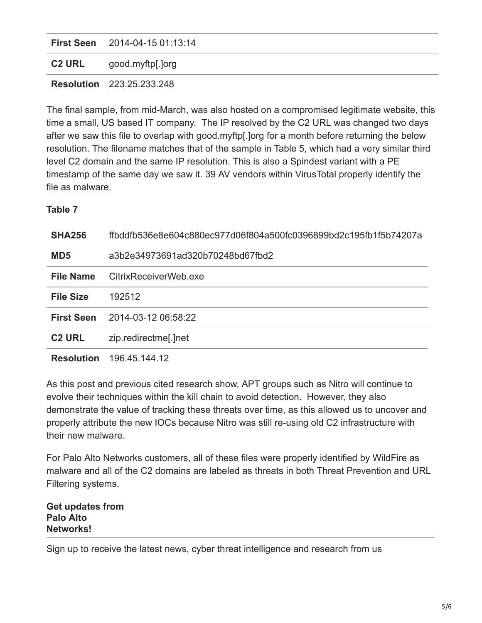|               | <b>First Seen</b> 2014-04-15 01:13:14 |
|---------------|---------------------------------------|
| <b>C2 URL</b> | good.myftp[.]org                      |
|               | <b>Resolution</b> 223.25.233.248      |

The final sample, from mid-March, was also hosted on a compromised legitimate website, this time a small, US based IT company. The IP resolved by the C2 URL was changed two days after we saw this file to overlap with good.myftp[.]org for a month before returning the below resolution. The filename matches that of the sample in Table 5, which had a very similar third level C2 domain and the same IP resolution. This is also a Spindest variant with a PE timestamp of the same day we saw it. 39 AV vendors within VirusTotal properly identify the file as malware.

**Table 7**

| <b>SHA256</b>     | ffbddfb536e8e604c880ec977d06f804a500fc0396899bd2c195fb1f5b74207a |
|-------------------|------------------------------------------------------------------|
| MD <sub>5</sub>   | a3b2e34973691ad320b70248bd67fbd2                                 |
| <b>File Name</b>  | CitrixReceiverWeb.exe                                            |
| <b>File Size</b>  | 192512                                                           |
| <b>First Seen</b> | 2014-03-12 06:58:22                                              |
| <b>C2 URL</b>     | zip.redirectme[.]net                                             |
| <b>Resolution</b> | 196.45.144.12                                                    |

As this post and previous cited research show, APT groups such as Nitro will continue to evolve their techniques within the kill chain to avoid detection. However, they also demonstrate the value of tracking these threats over time, as this allowed us to uncover and properly attribute the new IOCs because Nitro was still re-using old C2 infrastructure with their new malware.

For Palo Alto Networks customers, all of these files were properly identified by WildFire as malware and all of the C2 domains are labeled as threats in both Threat Prevention and URL Filtering systems.

**Get updates from Palo Alto Networks!**

Sign up to receive the latest news, cyber threat intelligence and research from us